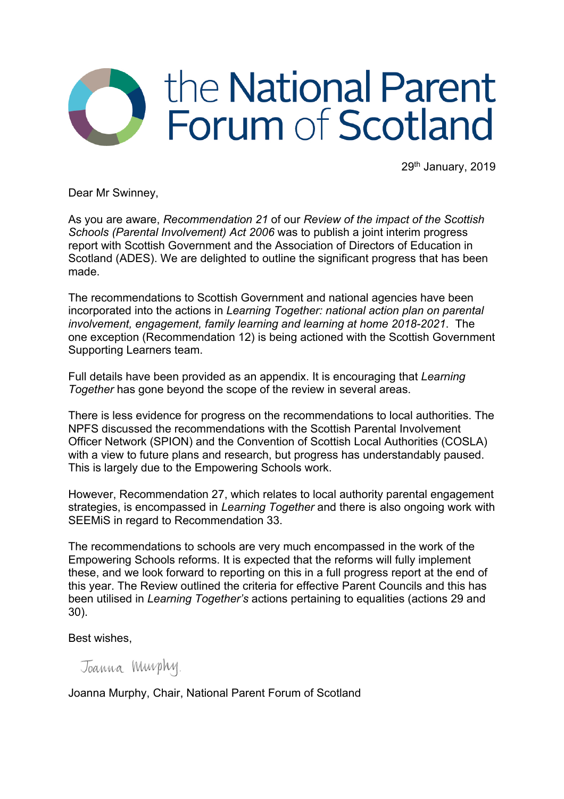## the National Parent Forum of Scotland

29th January, 2019

Dear Mr Swinney,

As you are aware, *Recommendation 21* of our *Review of the impact of the Scottish Schools (Parental Involvement) Act 2006* was to publish a joint interim progress report with Scottish Government and the Association of Directors of Education in Scotland (ADES). We are delighted to outline the significant progress that has been made.

The recommendations to Scottish Government and national agencies have been incorporated into the actions in *Learning Together: national action plan on parental involvement, engagement, family learning and learning at home 2018-2021*. The one exception (Recommendation 12) is being actioned with the Scottish Government Supporting Learners team.

Full details have been provided as an appendix. It is encouraging that *Learning Together* has gone beyond the scope of the review in several areas.

There is less evidence for progress on the recommendations to local authorities. The NPFS discussed the recommendations with the Scottish Parental Involvement Officer Network (SPION) and the Convention of Scottish Local Authorities (COSLA) with a view to future plans and research, but progress has understandably paused. This is largely due to the Empowering Schools work.

However, Recommendation 27, which relates to local authority parental engagement strategies, is encompassed in *Learning Together* and there is also ongoing work with SEEMiS in regard to Recommendation 33.

The recommendations to schools are very much encompassed in the work of the Empowering Schools reforms. It is expected that the reforms will fully implement these, and we look forward to reporting on this in a full progress report at the end of this year. The Review outlined the criteria for effective Parent Councils and this has been utilised in *Learning Together's* actions pertaining to equalities (actions 29 and 30).

Best wishes,

Joanna Murphy.

Joanna Murphy, Chair, National Parent Forum of Scotland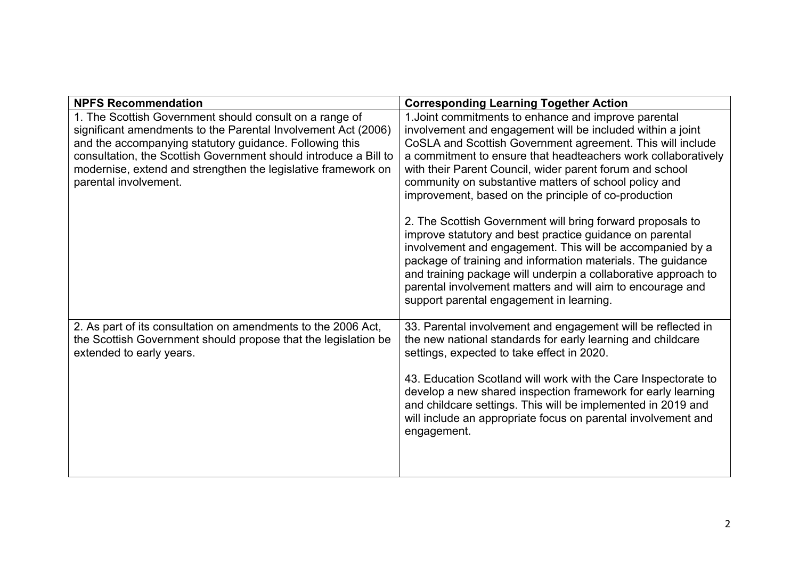| <b>NPFS Recommendation</b>                                       | <b>Corresponding Learning Together Action</b>                                                                                                                                                                                                                                                                                                                                                                                  |
|------------------------------------------------------------------|--------------------------------------------------------------------------------------------------------------------------------------------------------------------------------------------------------------------------------------------------------------------------------------------------------------------------------------------------------------------------------------------------------------------------------|
| 1. The Scottish Government should consult on a range of          | 1. Joint commitments to enhance and improve parental                                                                                                                                                                                                                                                                                                                                                                           |
| significant amendments to the Parental Involvement Act (2006)    | involvement and engagement will be included within a joint                                                                                                                                                                                                                                                                                                                                                                     |
| and the accompanying statutory guidance. Following this          | CoSLA and Scottish Government agreement. This will include                                                                                                                                                                                                                                                                                                                                                                     |
| consultation, the Scottish Government should introduce a Bill to | a commitment to ensure that headteachers work collaboratively                                                                                                                                                                                                                                                                                                                                                                  |
| modernise, extend and strengthen the legislative framework on    | with their Parent Council, wider parent forum and school                                                                                                                                                                                                                                                                                                                                                                       |
| parental involvement.                                            | community on substantive matters of school policy and<br>improvement, based on the principle of co-production                                                                                                                                                                                                                                                                                                                  |
|                                                                  |                                                                                                                                                                                                                                                                                                                                                                                                                                |
|                                                                  | 2. The Scottish Government will bring forward proposals to<br>improve statutory and best practice guidance on parental<br>involvement and engagement. This will be accompanied by a<br>package of training and information materials. The guidance<br>and training package will underpin a collaborative approach to<br>parental involvement matters and will aim to encourage and<br>support parental engagement in learning. |
| 2. As part of its consultation on amendments to the 2006 Act,    | 33. Parental involvement and engagement will be reflected in                                                                                                                                                                                                                                                                                                                                                                   |
| the Scottish Government should propose that the legislation be   | the new national standards for early learning and childcare                                                                                                                                                                                                                                                                                                                                                                    |
| extended to early years.                                         | settings, expected to take effect in 2020.                                                                                                                                                                                                                                                                                                                                                                                     |
|                                                                  | 43. Education Scotland will work with the Care Inspectorate to                                                                                                                                                                                                                                                                                                                                                                 |
|                                                                  | develop a new shared inspection framework for early learning                                                                                                                                                                                                                                                                                                                                                                   |
|                                                                  | and childcare settings. This will be implemented in 2019 and                                                                                                                                                                                                                                                                                                                                                                   |
|                                                                  | will include an appropriate focus on parental involvement and                                                                                                                                                                                                                                                                                                                                                                  |
|                                                                  | engagement.                                                                                                                                                                                                                                                                                                                                                                                                                    |
|                                                                  |                                                                                                                                                                                                                                                                                                                                                                                                                                |
|                                                                  |                                                                                                                                                                                                                                                                                                                                                                                                                                |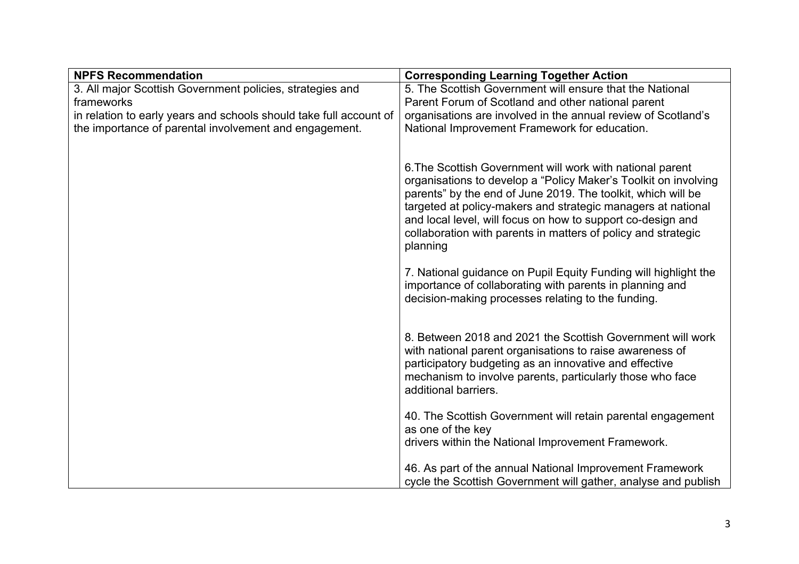| <b>NPFS Recommendation</b>                                         | <b>Corresponding Learning Together Action</b>                                                                                                                                                                                                                                                                                                                                                            |
|--------------------------------------------------------------------|----------------------------------------------------------------------------------------------------------------------------------------------------------------------------------------------------------------------------------------------------------------------------------------------------------------------------------------------------------------------------------------------------------|
| 3. All major Scottish Government policies, strategies and          | 5. The Scottish Government will ensure that the National                                                                                                                                                                                                                                                                                                                                                 |
| frameworks                                                         | Parent Forum of Scotland and other national parent                                                                                                                                                                                                                                                                                                                                                       |
| in relation to early years and schools should take full account of | organisations are involved in the annual review of Scotland's                                                                                                                                                                                                                                                                                                                                            |
| the importance of parental involvement and engagement.             | National Improvement Framework for education.                                                                                                                                                                                                                                                                                                                                                            |
|                                                                    |                                                                                                                                                                                                                                                                                                                                                                                                          |
|                                                                    | 6. The Scottish Government will work with national parent<br>organisations to develop a "Policy Maker's Toolkit on involving<br>parents" by the end of June 2019. The toolkit, which will be<br>targeted at policy-makers and strategic managers at national<br>and local level, will focus on how to support co-design and<br>collaboration with parents in matters of policy and strategic<br>planning |
|                                                                    | 7. National guidance on Pupil Equity Funding will highlight the<br>importance of collaborating with parents in planning and<br>decision-making processes relating to the funding.                                                                                                                                                                                                                        |
|                                                                    | 8. Between 2018 and 2021 the Scottish Government will work<br>with national parent organisations to raise awareness of<br>participatory budgeting as an innovative and effective<br>mechanism to involve parents, particularly those who face<br>additional barriers.                                                                                                                                    |
|                                                                    | 40. The Scottish Government will retain parental engagement<br>as one of the key<br>drivers within the National Improvement Framework.                                                                                                                                                                                                                                                                   |
|                                                                    | 46. As part of the annual National Improvement Framework<br>cycle the Scottish Government will gather, analyse and publish                                                                                                                                                                                                                                                                               |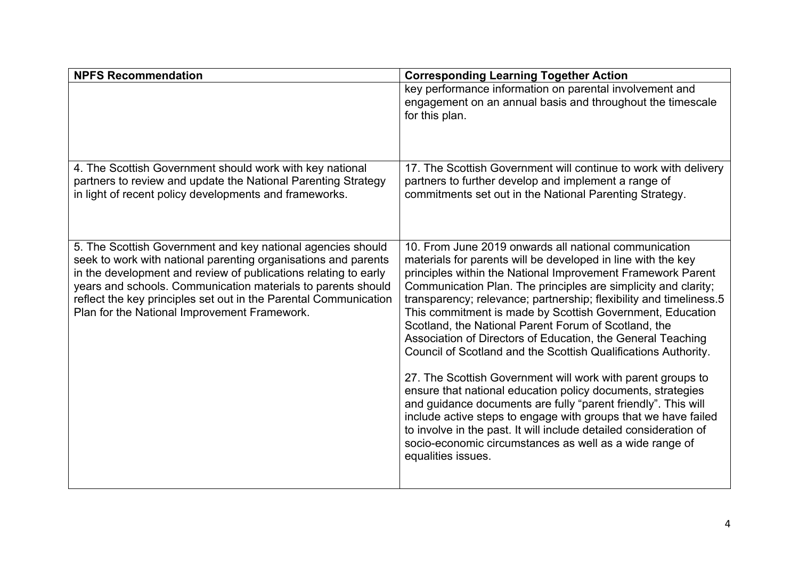| <b>NPFS Recommendation</b>                                                                                                                                                                                                                                                                                                                                                           | <b>Corresponding Learning Together Action</b>                                                                                                                                                                                                                                                                                                                                                                                                                                                                                                                                                                                                                                                                                                                                                                                                                                                                                                                                                             |
|--------------------------------------------------------------------------------------------------------------------------------------------------------------------------------------------------------------------------------------------------------------------------------------------------------------------------------------------------------------------------------------|-----------------------------------------------------------------------------------------------------------------------------------------------------------------------------------------------------------------------------------------------------------------------------------------------------------------------------------------------------------------------------------------------------------------------------------------------------------------------------------------------------------------------------------------------------------------------------------------------------------------------------------------------------------------------------------------------------------------------------------------------------------------------------------------------------------------------------------------------------------------------------------------------------------------------------------------------------------------------------------------------------------|
|                                                                                                                                                                                                                                                                                                                                                                                      | key performance information on parental involvement and<br>engagement on an annual basis and throughout the timescale<br>for this plan.                                                                                                                                                                                                                                                                                                                                                                                                                                                                                                                                                                                                                                                                                                                                                                                                                                                                   |
| 4. The Scottish Government should work with key national<br>partners to review and update the National Parenting Strategy<br>in light of recent policy developments and frameworks.                                                                                                                                                                                                  | 17. The Scottish Government will continue to work with delivery<br>partners to further develop and implement a range of<br>commitments set out in the National Parenting Strategy.                                                                                                                                                                                                                                                                                                                                                                                                                                                                                                                                                                                                                                                                                                                                                                                                                        |
| 5. The Scottish Government and key national agencies should<br>seek to work with national parenting organisations and parents<br>in the development and review of publications relating to early<br>years and schools. Communication materials to parents should<br>reflect the key principles set out in the Parental Communication<br>Plan for the National Improvement Framework. | 10. From June 2019 onwards all national communication<br>materials for parents will be developed in line with the key<br>principles within the National Improvement Framework Parent<br>Communication Plan. The principles are simplicity and clarity;<br>transparency; relevance; partnership; flexibility and timeliness.5<br>This commitment is made by Scottish Government, Education<br>Scotland, the National Parent Forum of Scotland, the<br>Association of Directors of Education, the General Teaching<br>Council of Scotland and the Scottish Qualifications Authority.<br>27. The Scottish Government will work with parent groups to<br>ensure that national education policy documents, strategies<br>and guidance documents are fully "parent friendly". This will<br>include active steps to engage with groups that we have failed<br>to involve in the past. It will include detailed consideration of<br>socio-economic circumstances as well as a wide range of<br>equalities issues. |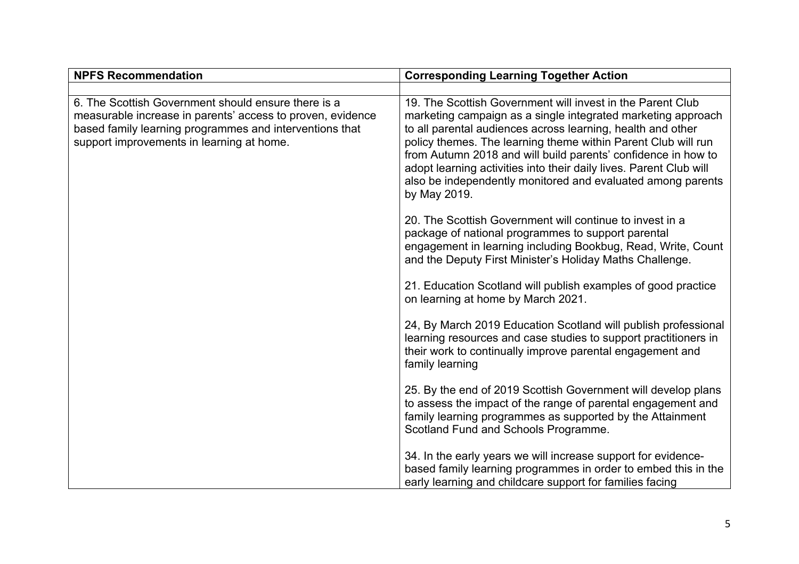| <b>NPFS Recommendation</b>                                                                                                                                                                                                | <b>Corresponding Learning Together Action</b>                                                                                                                                                                                                                                                                                                                                                                                                                                    |
|---------------------------------------------------------------------------------------------------------------------------------------------------------------------------------------------------------------------------|----------------------------------------------------------------------------------------------------------------------------------------------------------------------------------------------------------------------------------------------------------------------------------------------------------------------------------------------------------------------------------------------------------------------------------------------------------------------------------|
|                                                                                                                                                                                                                           |                                                                                                                                                                                                                                                                                                                                                                                                                                                                                  |
| 6. The Scottish Government should ensure there is a<br>measurable increase in parents' access to proven, evidence<br>based family learning programmes and interventions that<br>support improvements in learning at home. | 19. The Scottish Government will invest in the Parent Club<br>marketing campaign as a single integrated marketing approach<br>to all parental audiences across learning, health and other<br>policy themes. The learning theme within Parent Club will run<br>from Autumn 2018 and will build parents' confidence in how to<br>adopt learning activities into their daily lives. Parent Club will<br>also be independently monitored and evaluated among parents<br>by May 2019. |
|                                                                                                                                                                                                                           | 20. The Scottish Government will continue to invest in a<br>package of national programmes to support parental<br>engagement in learning including Bookbug, Read, Write, Count<br>and the Deputy First Minister's Holiday Maths Challenge.                                                                                                                                                                                                                                       |
|                                                                                                                                                                                                                           | 21. Education Scotland will publish examples of good practice<br>on learning at home by March 2021.                                                                                                                                                                                                                                                                                                                                                                              |
|                                                                                                                                                                                                                           | 24, By March 2019 Education Scotland will publish professional<br>learning resources and case studies to support practitioners in<br>their work to continually improve parental engagement and<br>family learning                                                                                                                                                                                                                                                                |
|                                                                                                                                                                                                                           | 25. By the end of 2019 Scottish Government will develop plans<br>to assess the impact of the range of parental engagement and<br>family learning programmes as supported by the Attainment<br>Scotland Fund and Schools Programme.                                                                                                                                                                                                                                               |
|                                                                                                                                                                                                                           | 34. In the early years we will increase support for evidence-<br>based family learning programmes in order to embed this in the<br>early learning and childcare support for families facing                                                                                                                                                                                                                                                                                      |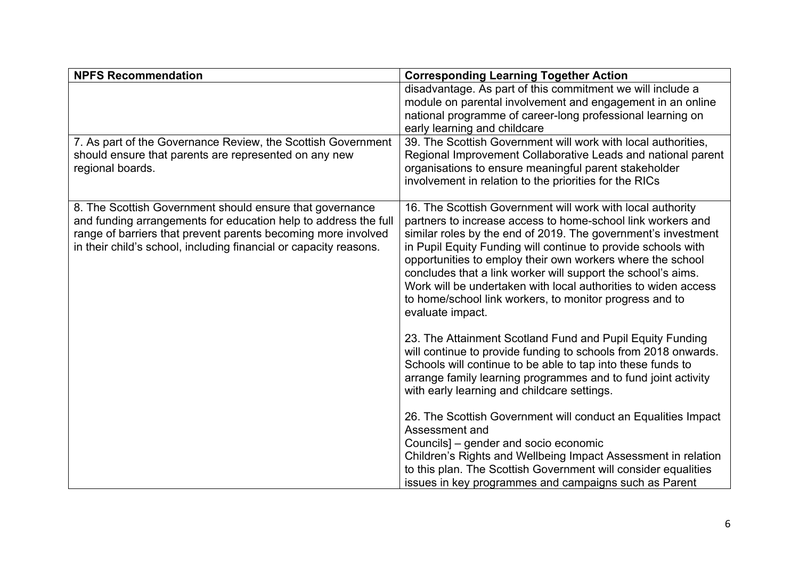| <b>NPFS Recommendation</b>                                                                                                                                                                                                                                        | <b>Corresponding Learning Together Action</b>                                                                                                                                                                                                                                                                                                                                                                                                                                                                                              |
|-------------------------------------------------------------------------------------------------------------------------------------------------------------------------------------------------------------------------------------------------------------------|--------------------------------------------------------------------------------------------------------------------------------------------------------------------------------------------------------------------------------------------------------------------------------------------------------------------------------------------------------------------------------------------------------------------------------------------------------------------------------------------------------------------------------------------|
|                                                                                                                                                                                                                                                                   | disadvantage. As part of this commitment we will include a<br>module on parental involvement and engagement in an online<br>national programme of career-long professional learning on<br>early learning and childcare                                                                                                                                                                                                                                                                                                                     |
| 7. As part of the Governance Review, the Scottish Government<br>should ensure that parents are represented on any new<br>regional boards.                                                                                                                         | 39. The Scottish Government will work with local authorities,<br>Regional Improvement Collaborative Leads and national parent<br>organisations to ensure meaningful parent stakeholder<br>involvement in relation to the priorities for the RICs                                                                                                                                                                                                                                                                                           |
| 8. The Scottish Government should ensure that governance<br>and funding arrangements for education help to address the full<br>range of barriers that prevent parents becoming more involved<br>in their child's school, including financial or capacity reasons. | 16. The Scottish Government will work with local authority<br>partners to increase access to home-school link workers and<br>similar roles by the end of 2019. The government's investment<br>in Pupil Equity Funding will continue to provide schools with<br>opportunities to employ their own workers where the school<br>concludes that a link worker will support the school's aims.<br>Work will be undertaken with local authorities to widen access<br>to home/school link workers, to monitor progress and to<br>evaluate impact. |
|                                                                                                                                                                                                                                                                   | 23. The Attainment Scotland Fund and Pupil Equity Funding<br>will continue to provide funding to schools from 2018 onwards.<br>Schools will continue to be able to tap into these funds to<br>arrange family learning programmes and to fund joint activity<br>with early learning and childcare settings.                                                                                                                                                                                                                                 |
|                                                                                                                                                                                                                                                                   | 26. The Scottish Government will conduct an Equalities Impact<br>Assessment and<br>Councils] – gender and socio economic<br>Children's Rights and Wellbeing Impact Assessment in relation<br>to this plan. The Scottish Government will consider equalities<br>issues in key programmes and campaigns such as Parent                                                                                                                                                                                                                       |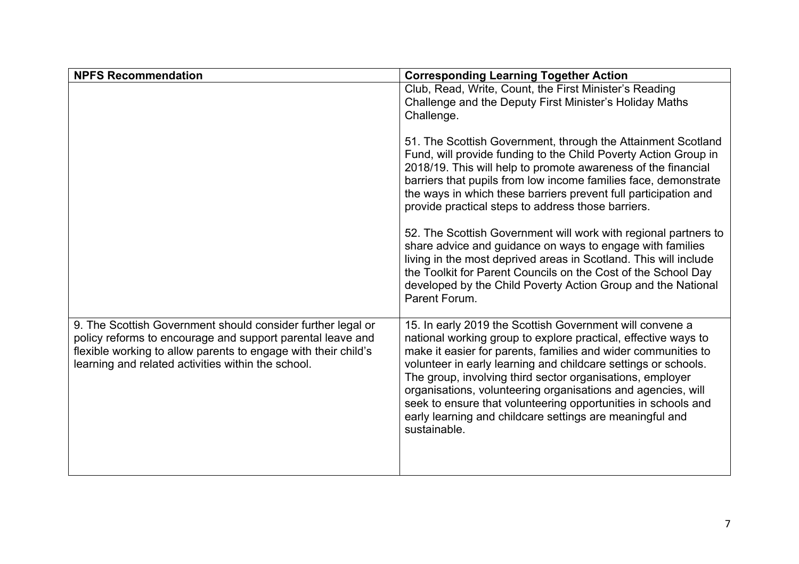| <b>NPFS Recommendation</b>                                                                                                                                                                                                                        | <b>Corresponding Learning Together Action</b>                                                                                                                                                                                                                                                                                                                                                                                                                                                                                           |
|---------------------------------------------------------------------------------------------------------------------------------------------------------------------------------------------------------------------------------------------------|-----------------------------------------------------------------------------------------------------------------------------------------------------------------------------------------------------------------------------------------------------------------------------------------------------------------------------------------------------------------------------------------------------------------------------------------------------------------------------------------------------------------------------------------|
|                                                                                                                                                                                                                                                   | Club, Read, Write, Count, the First Minister's Reading<br>Challenge and the Deputy First Minister's Holiday Maths<br>Challenge.                                                                                                                                                                                                                                                                                                                                                                                                         |
|                                                                                                                                                                                                                                                   | 51. The Scottish Government, through the Attainment Scotland<br>Fund, will provide funding to the Child Poverty Action Group in<br>2018/19. This will help to promote awareness of the financial<br>barriers that pupils from low income families face, demonstrate<br>the ways in which these barriers prevent full participation and<br>provide practical steps to address those barriers.                                                                                                                                            |
|                                                                                                                                                                                                                                                   | 52. The Scottish Government will work with regional partners to<br>share advice and guidance on ways to engage with families<br>living in the most deprived areas in Scotland. This will include<br>the Toolkit for Parent Councils on the Cost of the School Day<br>developed by the Child Poverty Action Group and the National<br>Parent Forum.                                                                                                                                                                                      |
| 9. The Scottish Government should consider further legal or<br>policy reforms to encourage and support parental leave and<br>flexible working to allow parents to engage with their child's<br>learning and related activities within the school. | 15. In early 2019 the Scottish Government will convene a<br>national working group to explore practical, effective ways to<br>make it easier for parents, families and wider communities to<br>volunteer in early learning and childcare settings or schools.<br>The group, involving third sector organisations, employer<br>organisations, volunteering organisations and agencies, will<br>seek to ensure that volunteering opportunities in schools and<br>early learning and childcare settings are meaningful and<br>sustainable. |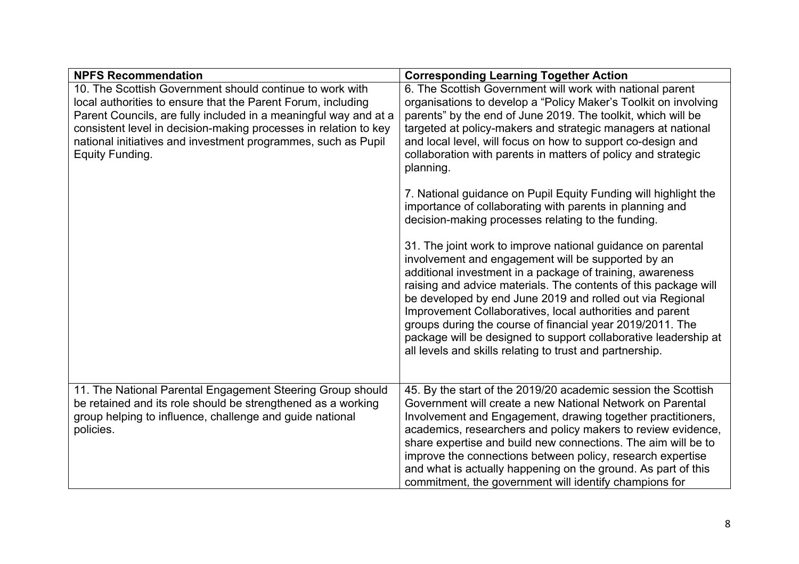| <b>NPFS Recommendation</b>                                                                                                                                                                                                                                                                                                                           | <b>Corresponding Learning Together Action</b>                                                                                                                                                                                                                                                                                                                                                                                                                                                                                                                          |
|------------------------------------------------------------------------------------------------------------------------------------------------------------------------------------------------------------------------------------------------------------------------------------------------------------------------------------------------------|------------------------------------------------------------------------------------------------------------------------------------------------------------------------------------------------------------------------------------------------------------------------------------------------------------------------------------------------------------------------------------------------------------------------------------------------------------------------------------------------------------------------------------------------------------------------|
| 10. The Scottish Government should continue to work with<br>local authorities to ensure that the Parent Forum, including<br>Parent Councils, are fully included in a meaningful way and at a<br>consistent level in decision-making processes in relation to key<br>national initiatives and investment programmes, such as Pupil<br>Equity Funding. | 6. The Scottish Government will work with national parent<br>organisations to develop a "Policy Maker's Toolkit on involving<br>parents" by the end of June 2019. The toolkit, which will be<br>targeted at policy-makers and strategic managers at national<br>and local level, will focus on how to support co-design and<br>collaboration with parents in matters of policy and strategic<br>planning.                                                                                                                                                              |
|                                                                                                                                                                                                                                                                                                                                                      | 7. National guidance on Pupil Equity Funding will highlight the<br>importance of collaborating with parents in planning and<br>decision-making processes relating to the funding.                                                                                                                                                                                                                                                                                                                                                                                      |
|                                                                                                                                                                                                                                                                                                                                                      | 31. The joint work to improve national guidance on parental<br>involvement and engagement will be supported by an<br>additional investment in a package of training, awareness<br>raising and advice materials. The contents of this package will<br>be developed by end June 2019 and rolled out via Regional<br>Improvement Collaboratives, local authorities and parent<br>groups during the course of financial year 2019/2011. The<br>package will be designed to support collaborative leadership at<br>all levels and skills relating to trust and partnership. |
| 11. The National Parental Engagement Steering Group should<br>be retained and its role should be strengthened as a working<br>group helping to influence, challenge and guide national<br>policies.                                                                                                                                                  | 45. By the start of the 2019/20 academic session the Scottish<br>Government will create a new National Network on Parental<br>Involvement and Engagement, drawing together practitioners,<br>academics, researchers and policy makers to review evidence,<br>share expertise and build new connections. The aim will be to<br>improve the connections between policy, research expertise<br>and what is actually happening on the ground. As part of this<br>commitment, the government will identify champions for                                                    |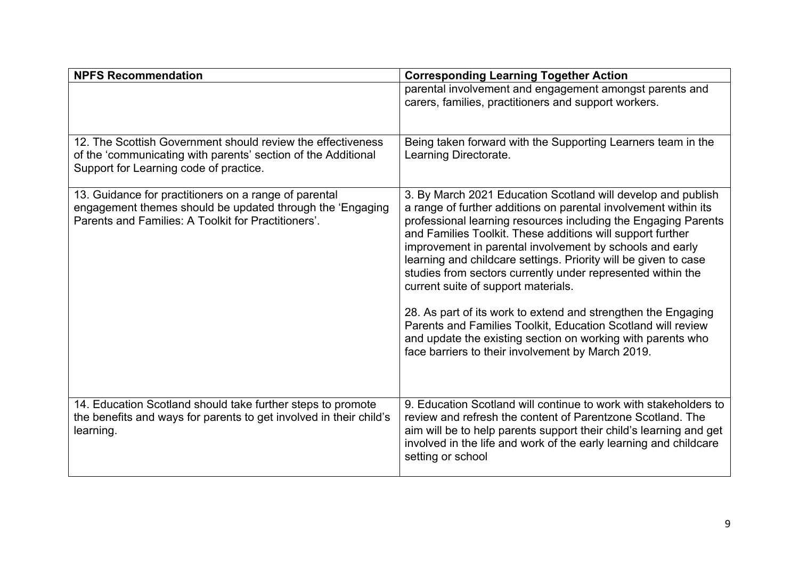| <b>NPFS Recommendation</b>                                                                                                                                                | <b>Corresponding Learning Together Action</b>                                                                                                                                                                                                                                                                                                                                                                                                                                                                                                                                                                                                                                                                                                             |
|---------------------------------------------------------------------------------------------------------------------------------------------------------------------------|-----------------------------------------------------------------------------------------------------------------------------------------------------------------------------------------------------------------------------------------------------------------------------------------------------------------------------------------------------------------------------------------------------------------------------------------------------------------------------------------------------------------------------------------------------------------------------------------------------------------------------------------------------------------------------------------------------------------------------------------------------------|
|                                                                                                                                                                           | parental involvement and engagement amongst parents and<br>carers, families, practitioners and support workers.                                                                                                                                                                                                                                                                                                                                                                                                                                                                                                                                                                                                                                           |
| 12. The Scottish Government should review the effectiveness<br>of the 'communicating with parents' section of the Additional<br>Support for Learning code of practice.    | Being taken forward with the Supporting Learners team in the<br>Learning Directorate.                                                                                                                                                                                                                                                                                                                                                                                                                                                                                                                                                                                                                                                                     |
| 13. Guidance for practitioners on a range of parental<br>engagement themes should be updated through the 'Engaging<br>Parents and Families: A Toolkit for Practitioners'. | 3. By March 2021 Education Scotland will develop and publish<br>a range of further additions on parental involvement within its<br>professional learning resources including the Engaging Parents<br>and Families Toolkit. These additions will support further<br>improvement in parental involvement by schools and early<br>learning and childcare settings. Priority will be given to case<br>studies from sectors currently under represented within the<br>current suite of support materials.<br>28. As part of its work to extend and strengthen the Engaging<br>Parents and Families Toolkit, Education Scotland will review<br>and update the existing section on working with parents who<br>face barriers to their involvement by March 2019. |
| 14. Education Scotland should take further steps to promote<br>the benefits and ways for parents to get involved in their child's<br>learning.                            | 9. Education Scotland will continue to work with stakeholders to<br>review and refresh the content of Parentzone Scotland. The<br>aim will be to help parents support their child's learning and get<br>involved in the life and work of the early learning and childcare<br>setting or school                                                                                                                                                                                                                                                                                                                                                                                                                                                            |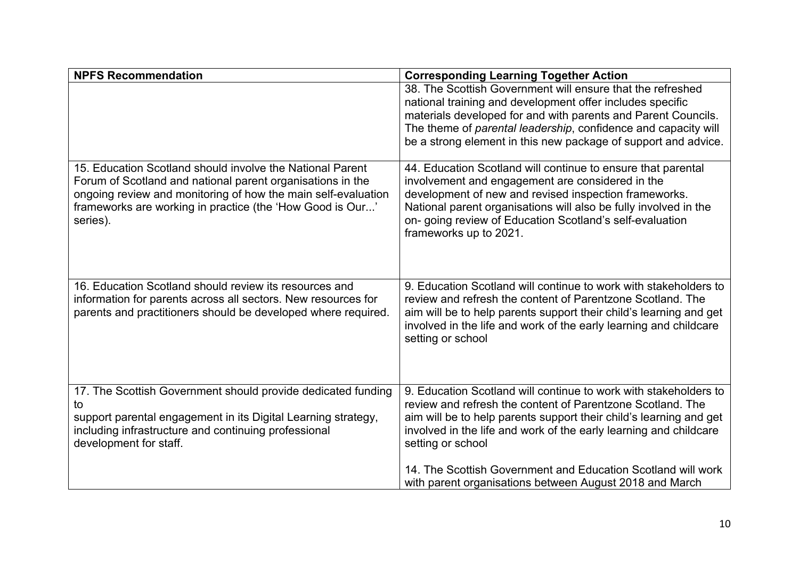| <b>NPFS Recommendation</b>                                                                                                                                                                                                                                        | <b>Corresponding Learning Together Action</b>                                                                                                                                                                                                                                                                                                                                                                             |
|-------------------------------------------------------------------------------------------------------------------------------------------------------------------------------------------------------------------------------------------------------------------|---------------------------------------------------------------------------------------------------------------------------------------------------------------------------------------------------------------------------------------------------------------------------------------------------------------------------------------------------------------------------------------------------------------------------|
|                                                                                                                                                                                                                                                                   | 38. The Scottish Government will ensure that the refreshed<br>national training and development offer includes specific<br>materials developed for and with parents and Parent Councils.<br>The theme of parental leadership, confidence and capacity will<br>be a strong element in this new package of support and advice.                                                                                              |
| 15. Education Scotland should involve the National Parent<br>Forum of Scotland and national parent organisations in the<br>ongoing review and monitoring of how the main self-evaluation<br>frameworks are working in practice (the 'How Good is Our'<br>series). | 44. Education Scotland will continue to ensure that parental<br>involvement and engagement are considered in the<br>development of new and revised inspection frameworks.<br>National parent organisations will also be fully involved in the<br>on-going review of Education Scotland's self-evaluation<br>frameworks up to 2021.                                                                                        |
| 16. Education Scotland should review its resources and<br>information for parents across all sectors. New resources for<br>parents and practitioners should be developed where required.                                                                          | 9. Education Scotland will continue to work with stakeholders to<br>review and refresh the content of Parentzone Scotland. The<br>aim will be to help parents support their child's learning and get<br>involved in the life and work of the early learning and childcare<br>setting or school                                                                                                                            |
| 17. The Scottish Government should provide dedicated funding<br>to<br>support parental engagement in its Digital Learning strategy,<br>including infrastructure and continuing professional<br>development for staff.                                             | 9. Education Scotland will continue to work with stakeholders to<br>review and refresh the content of Parentzone Scotland. The<br>aim will be to help parents support their child's learning and get<br>involved in the life and work of the early learning and childcare<br>setting or school<br>14. The Scottish Government and Education Scotland will work<br>with parent organisations between August 2018 and March |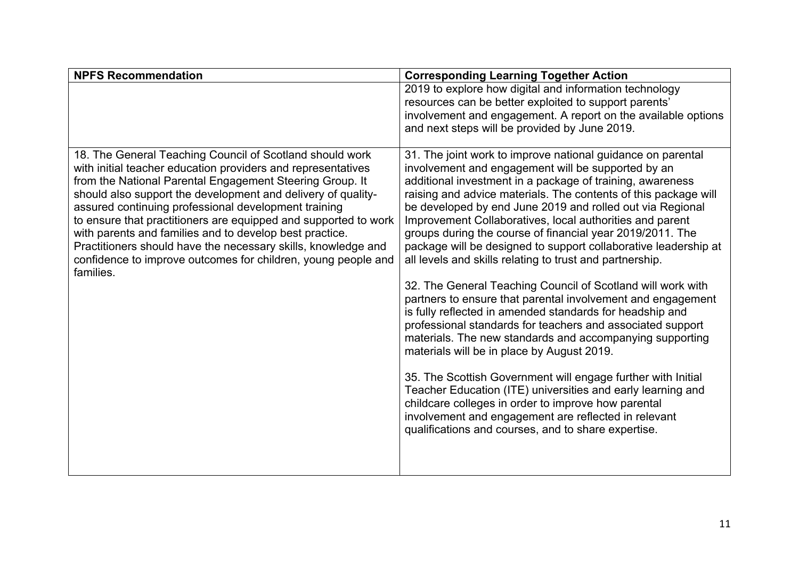| <b>NPFS Recommendation</b>                                                                                                                                                                                                                                                                                                                                                                                                                                                                                                                                                                | <b>Corresponding Learning Together Action</b>                                                                                                                                                                                                                                                                                                                                                                                                                                                                                                                                                                                                                                                                                                                                                                                                                                                                                                                                                                                                                                                                                                                                                                                                 |
|-------------------------------------------------------------------------------------------------------------------------------------------------------------------------------------------------------------------------------------------------------------------------------------------------------------------------------------------------------------------------------------------------------------------------------------------------------------------------------------------------------------------------------------------------------------------------------------------|-----------------------------------------------------------------------------------------------------------------------------------------------------------------------------------------------------------------------------------------------------------------------------------------------------------------------------------------------------------------------------------------------------------------------------------------------------------------------------------------------------------------------------------------------------------------------------------------------------------------------------------------------------------------------------------------------------------------------------------------------------------------------------------------------------------------------------------------------------------------------------------------------------------------------------------------------------------------------------------------------------------------------------------------------------------------------------------------------------------------------------------------------------------------------------------------------------------------------------------------------|
|                                                                                                                                                                                                                                                                                                                                                                                                                                                                                                                                                                                           | 2019 to explore how digital and information technology<br>resources can be better exploited to support parents'                                                                                                                                                                                                                                                                                                                                                                                                                                                                                                                                                                                                                                                                                                                                                                                                                                                                                                                                                                                                                                                                                                                               |
|                                                                                                                                                                                                                                                                                                                                                                                                                                                                                                                                                                                           | involvement and engagement. A report on the available options                                                                                                                                                                                                                                                                                                                                                                                                                                                                                                                                                                                                                                                                                                                                                                                                                                                                                                                                                                                                                                                                                                                                                                                 |
|                                                                                                                                                                                                                                                                                                                                                                                                                                                                                                                                                                                           | and next steps will be provided by June 2019.                                                                                                                                                                                                                                                                                                                                                                                                                                                                                                                                                                                                                                                                                                                                                                                                                                                                                                                                                                                                                                                                                                                                                                                                 |
| 18. The General Teaching Council of Scotland should work<br>with initial teacher education providers and representatives<br>from the National Parental Engagement Steering Group. It<br>should also support the development and delivery of quality-<br>assured continuing professional development training<br>to ensure that practitioners are equipped and supported to work<br>with parents and families and to develop best practice.<br>Practitioners should have the necessary skills, knowledge and<br>confidence to improve outcomes for children, young people and<br>families. | 31. The joint work to improve national guidance on parental<br>involvement and engagement will be supported by an<br>additional investment in a package of training, awareness<br>raising and advice materials. The contents of this package will<br>be developed by end June 2019 and rolled out via Regional<br>Improvement Collaboratives, local authorities and parent<br>groups during the course of financial year 2019/2011. The<br>package will be designed to support collaborative leadership at<br>all levels and skills relating to trust and partnership.<br>32. The General Teaching Council of Scotland will work with<br>partners to ensure that parental involvement and engagement<br>is fully reflected in amended standards for headship and<br>professional standards for teachers and associated support<br>materials. The new standards and accompanying supporting<br>materials will be in place by August 2019.<br>35. The Scottish Government will engage further with Initial<br>Teacher Education (ITE) universities and early learning and<br>childcare colleges in order to improve how parental<br>involvement and engagement are reflected in relevant<br>qualifications and courses, and to share expertise. |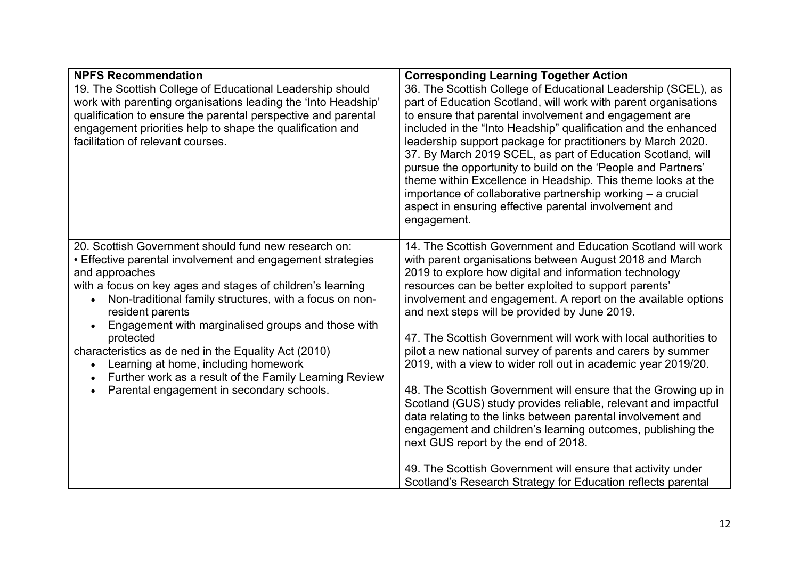| <b>NPFS Recommendation</b>                                                                                                                                                                                                                                                                       | <b>Corresponding Learning Together Action</b>                                                                                                                                                                                                                                                                                                                                                                                                                                                                                                                                                                                                                       |
|--------------------------------------------------------------------------------------------------------------------------------------------------------------------------------------------------------------------------------------------------------------------------------------------------|---------------------------------------------------------------------------------------------------------------------------------------------------------------------------------------------------------------------------------------------------------------------------------------------------------------------------------------------------------------------------------------------------------------------------------------------------------------------------------------------------------------------------------------------------------------------------------------------------------------------------------------------------------------------|
| 19. The Scottish College of Educational Leadership should<br>work with parenting organisations leading the 'Into Headship'<br>qualification to ensure the parental perspective and parental<br>engagement priorities help to shape the qualification and<br>facilitation of relevant courses.    | 36. The Scottish College of Educational Leadership (SCEL), as<br>part of Education Scotland, will work with parent organisations<br>to ensure that parental involvement and engagement are<br>included in the "Into Headship" qualification and the enhanced<br>leadership support package for practitioners by March 2020.<br>37. By March 2019 SCEL, as part of Education Scotland, will<br>pursue the opportunity to build on the 'People and Partners'<br>theme within Excellence in Headship. This theme looks at the<br>importance of collaborative partnership working $-$ a crucial<br>aspect in ensuring effective parental involvement and<br>engagement. |
| 20. Scottish Government should fund new research on:<br>• Effective parental involvement and engagement strategies<br>and approaches<br>with a focus on key ages and stages of children's learning<br>Non-traditional family structures, with a focus on non-<br>resident parents                | 14. The Scottish Government and Education Scotland will work<br>with parent organisations between August 2018 and March<br>2019 to explore how digital and information technology<br>resources can be better exploited to support parents'<br>involvement and engagement. A report on the available options<br>and next steps will be provided by June 2019.                                                                                                                                                                                                                                                                                                        |
| Engagement with marginalised groups and those with<br>$\bullet$<br>protected<br>characteristics as de ned in the Equality Act (2010)<br>Learning at home, including homework<br>Further work as a result of the Family Learning Review<br>Parental engagement in secondary schools.<br>$\bullet$ | 47. The Scottish Government will work with local authorities to<br>pilot a new national survey of parents and carers by summer<br>2019, with a view to wider roll out in academic year 2019/20.<br>48. The Scottish Government will ensure that the Growing up in<br>Scotland (GUS) study provides reliable, relevant and impactful                                                                                                                                                                                                                                                                                                                                 |
|                                                                                                                                                                                                                                                                                                  | data relating to the links between parental involvement and<br>engagement and children's learning outcomes, publishing the<br>next GUS report by the end of 2018.<br>49. The Scottish Government will ensure that activity under<br>Scotland's Research Strategy for Education reflects parental                                                                                                                                                                                                                                                                                                                                                                    |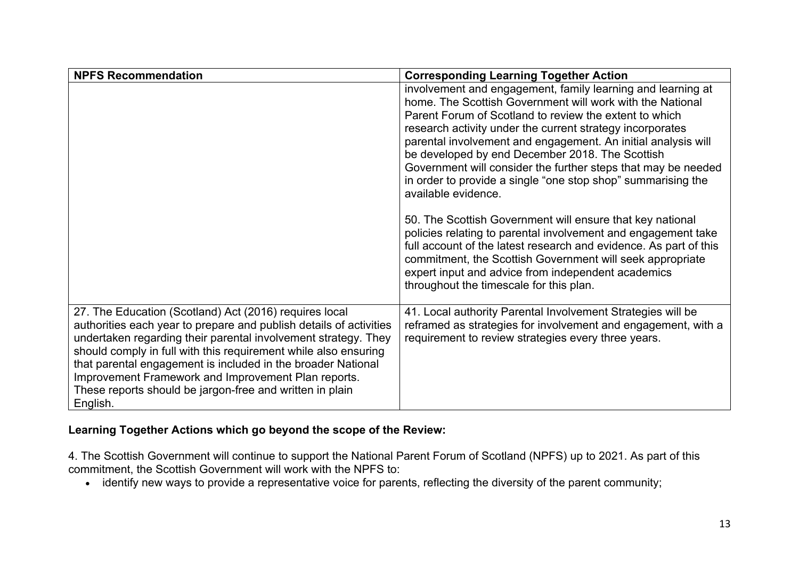| <b>NPFS Recommendation</b>                                                                                                                                                                                                                                                                                                                                                                                                                                       | <b>Corresponding Learning Together Action</b>                                                                                                                                                                                                                                                                                                                                                                                                                                                                               |
|------------------------------------------------------------------------------------------------------------------------------------------------------------------------------------------------------------------------------------------------------------------------------------------------------------------------------------------------------------------------------------------------------------------------------------------------------------------|-----------------------------------------------------------------------------------------------------------------------------------------------------------------------------------------------------------------------------------------------------------------------------------------------------------------------------------------------------------------------------------------------------------------------------------------------------------------------------------------------------------------------------|
|                                                                                                                                                                                                                                                                                                                                                                                                                                                                  | involvement and engagement, family learning and learning at<br>home. The Scottish Government will work with the National<br>Parent Forum of Scotland to review the extent to which<br>research activity under the current strategy incorporates<br>parental involvement and engagement. An initial analysis will<br>be developed by end December 2018. The Scottish<br>Government will consider the further steps that may be needed<br>in order to provide a single "one stop shop" summarising the<br>available evidence. |
|                                                                                                                                                                                                                                                                                                                                                                                                                                                                  | 50. The Scottish Government will ensure that key national<br>policies relating to parental involvement and engagement take<br>full account of the latest research and evidence. As part of this<br>commitment, the Scottish Government will seek appropriate<br>expert input and advice from independent academics<br>throughout the timescale for this plan.                                                                                                                                                               |
| 27. The Education (Scotland) Act (2016) requires local<br>authorities each year to prepare and publish details of activities<br>undertaken regarding their parental involvement strategy. They<br>should comply in full with this requirement while also ensuring<br>that parental engagement is included in the broader National<br>Improvement Framework and Improvement Plan reports.<br>These reports should be jargon-free and written in plain<br>English. | 41. Local authority Parental Involvement Strategies will be<br>reframed as strategies for involvement and engagement, with a<br>requirement to review strategies every three years.                                                                                                                                                                                                                                                                                                                                         |

## **Learning Together Actions which go beyond the scope of the Review:**

4. The Scottish Government will continue to support the National Parent Forum of Scotland (NPFS) up to 2021. As part of this commitment, the Scottish Government will work with the NPFS to:

• identify new ways to provide a representative voice for parents, reflecting the diversity of the parent community;